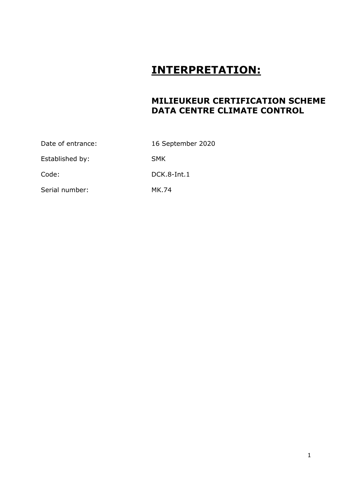## **INTERPRETATION:**

## **MILIEUKEUR CERTIFICATION SCHEME DATA CENTRE CLIMATE CONTROL**

| Date of entrance: | 16 September 2020 |
|-------------------|-------------------|
| Established by:   | <b>SMK</b>        |
| Code:             | DCK.8-Int.1       |
| Serial number:    | MK.74             |